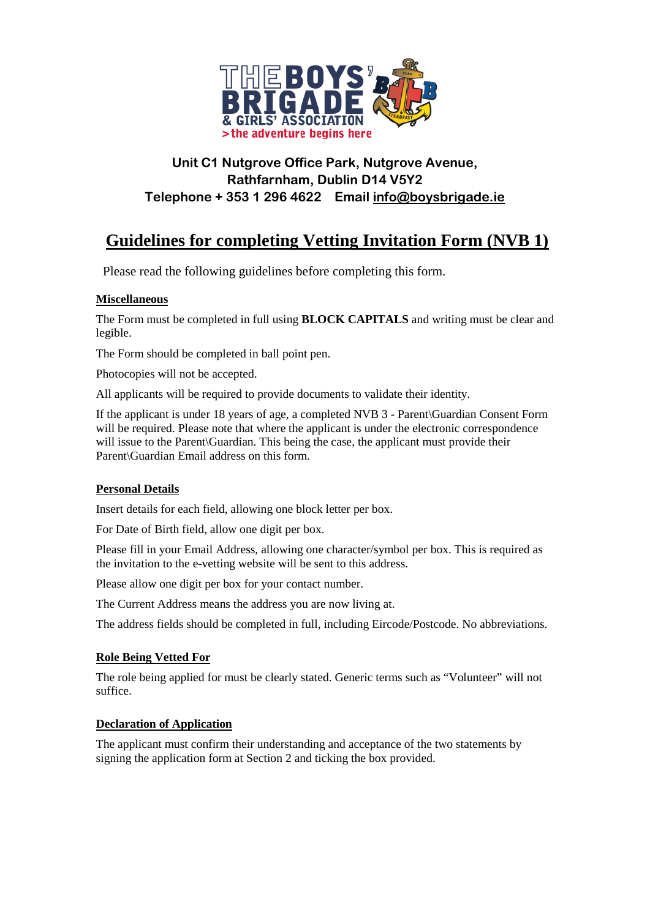

## **Unit C1 Nutgrove Office Park, Nutgrove Avenue, Rathfarnham, Dublin D14 V5Y2 Telephone + 353 1 296 4622 Email [info@boysbrigade.ie](mailto:info@boysbrigade.ie)**

# **Guidelines for completing Vetting Invitation Form (NVB 1)**

Please read the following guidelines before completing this form.

### **Miscellaneous**

The Form must be completed in full using **BLOCK CAPITALS** and writing must be clear and legible.

The Form should be completed in ball point pen.

Photocopies will not be accepted.

All applicants will be required to provide documents to validate their identity.

If the applicant is under 18 years of age, a completed NVB 3 - Parent\Guardian Consent Form will be required. Please note that where the applicant is under the electronic correspondence will issue to the Parent\Guardian. This being the case, the applicant must provide their Parent\Guardian Email address on this form.

#### **Personal Details**

Insert details for each field, allowing one block letter per box.

For Date of Birth field, allow one digit per box.

Please fill in your Email Address, allowing one character/symbol per box. This is required as the invitation to the e-vetting website will be sent to this address.

Please allow one digit per box for your contact number.

The Current Address means the address you are now living at.

The address fields should be completed in full, including Eircode/Postcode. No abbreviations.

#### **Role Being Vetted For**

The role being applied for must be clearly stated. Generic terms such as "Volunteer" will not suffice.

#### **Declaration of Application**

The applicant must confirm their understanding and acceptance of the two statements by signing the application form at Section 2 and ticking the box provided.